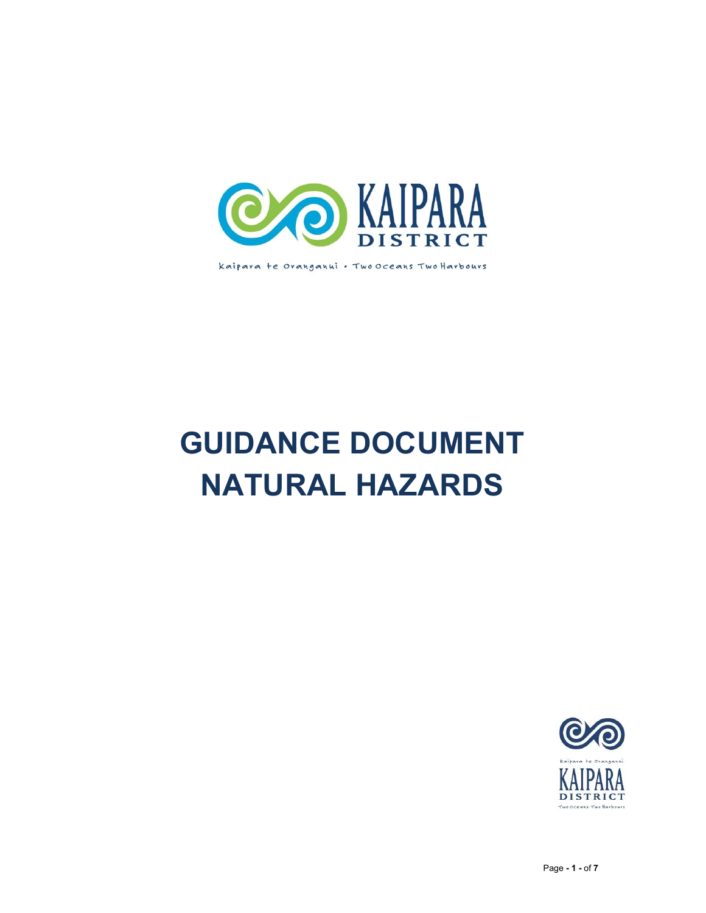

Kaipara te Oranganui . Two Oceans Two Harbours

# GUIDANCE DOCUMENT NATURAL HAZARDS

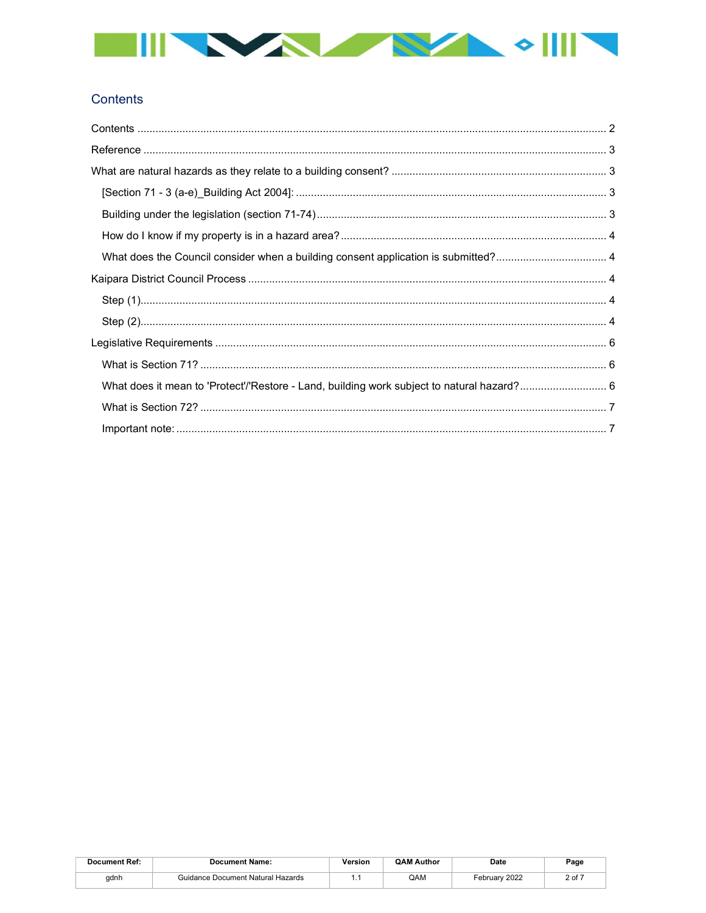

# Contents

| <b>Document Ref:</b> | <b>Document Name:</b>             | ersion | <b>QAM Author</b> | Date                      | Page |
|----------------------|-----------------------------------|--------|-------------------|---------------------------|------|
| adnh                 | Guidance Document Natural Hazards |        | QAM               | ebruarv 2022 <sup>-</sup> | ∩f ⊺ |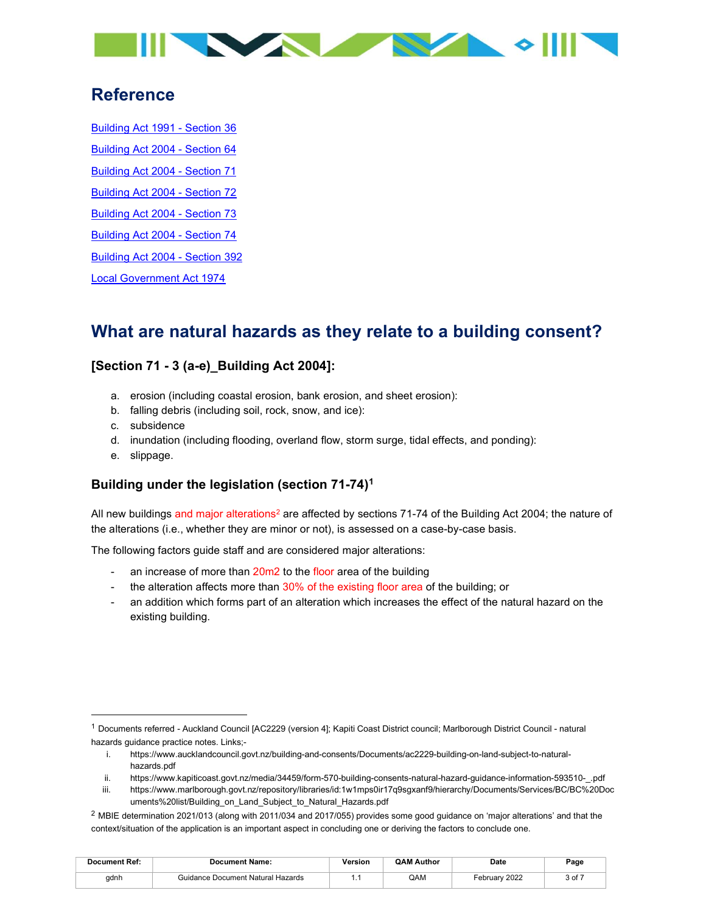

# Reference

Building Act 1991 - Section 36 Building Act 2004 - Section 64 Building Act 2004 - Section 71 Building Act 2004 - Section 72 Building Act 2004 - Section 73 Building Act 2004 - Section 74 Building Act 2004 - Section 392 Local Government Act 1974

# What are natural hazards as they relate to a building consent?

## [Section 71 - 3 (a-e)\_Building Act 2004]:

- a. erosion (including coastal erosion, bank erosion, and sheet erosion):
- b. falling debris (including soil, rock, snow, and ice):
- c. subsidence
- d. inundation (including flooding, overland flow, storm surge, tidal effects, and ponding):
- e. slippage.

## Building under the legislation (section 71-74)<sup>1</sup>

All new buildings and major alterations<sup>2</sup> are affected by sections 71-74 of the Building Act 2004; the nature of the alterations (i.e., whether they are minor or not), is assessed on a case-by-case basis.

The following factors guide staff and are considered major alterations:

- an increase of more than 20m2 to the floor area of the building
- the alteration affects more than 30% of the existing floor area of the building; or
- an addition which forms part of an alteration which increases the effect of the natural hazard on the existing building.

- i. https://www.aucklandcouncil.govt.nz/building-and-consents/Documents/ac2229-building-on-land-subject-to-naturalhazards.pdf
- ii. https://www.kapiticoast.govt.nz/media/34459/form-570-building-consents-natural-hazard-guidance-information-593510-\_.pdf
- iii. https://www.marlborough.govt.nz/repository/libraries/id:1w1mps0ir17q9sgxanf9/hierarchy/Documents/Services/BC/BC%20Doc uments%20list/Building\_on\_Land\_Subject\_to\_Natural\_Hazards.pdf
- <sup>2</sup> MBIE determination 2021/013 (along with 2011/034 and 2017/055) provides some good guidance on 'major alterations' and that the context/situation of the application is an important aspect in concluding one or deriving the factors to conclude one.

| <b>Document Ref:</b> | <b>Document Name:</b>             | <b>Yersion</b> | <b>QAM Author</b> | Date          | Page |
|----------------------|-----------------------------------|----------------|-------------------|---------------|------|
| adnh                 | Guidance Document Natural Hazards |                | QAM               | February 2022 | 3 of |

<sup>1</sup> Documents referred - Auckland Council [AC2229 (version 4]; Kapiti Coast District council; Marlborough District Council - natural hazards guidance practice notes. Links;-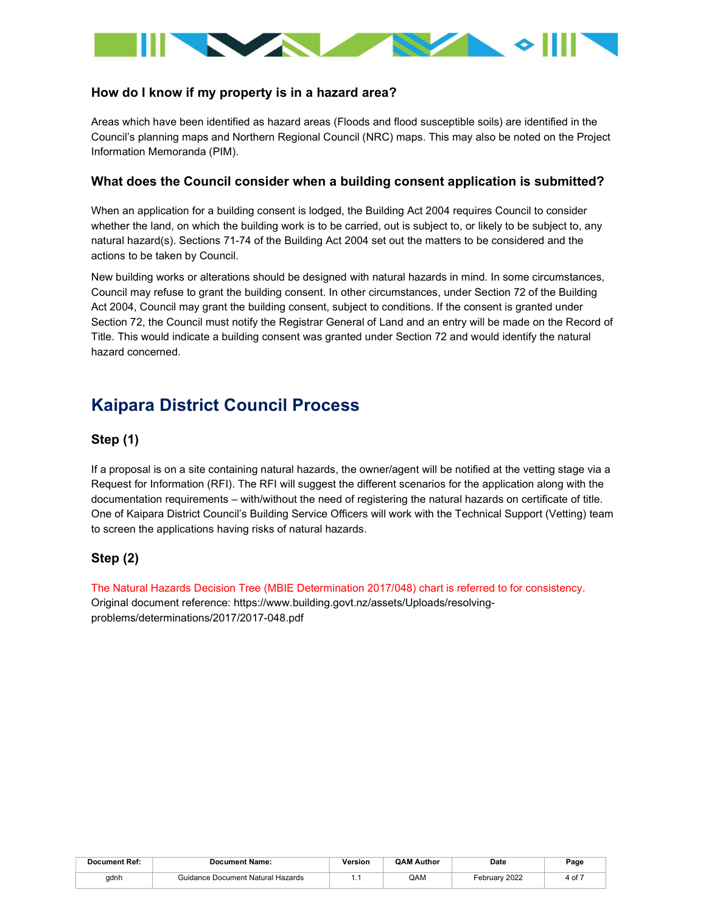

### How do I know if my property is in a hazard area?

Areas which have been identified as hazard areas (Floods and flood susceptible soils) are identified in the Council's planning maps and Northern Regional Council (NRC) maps. This may also be noted on the Project Information Memoranda (PIM).

#### What does the Council consider when a building consent application is submitted?

When an application for a building consent is lodged, the Building Act 2004 requires Council to consider whether the land, on which the building work is to be carried, out is subject to, or likely to be subject to, any natural hazard(s). Sections 71-74 of the Building Act 2004 set out the matters to be considered and the actions to be taken by Council.

New building works or alterations should be designed with natural hazards in mind. In some circumstances, Council may refuse to grant the building consent. In other circumstances, under Section 72 of the Building Act 2004, Council may grant the building consent, subject to conditions. If the consent is granted under Section 72, the Council must notify the Registrar General of Land and an entry will be made on the Record of Title. This would indicate a building consent was granted under Section 72 and would identify the natural hazard concerned.

# Kaipara District Council Process

#### Step (1)

If a proposal is on a site containing natural hazards, the owner/agent will be notified at the vetting stage via a Request for Information (RFI). The RFI will suggest the different scenarios for the application along with the documentation requirements – with/without the need of registering the natural hazards on certificate of title. One of Kaipara District Council's Building Service Officers will work with the Technical Support (Vetting) team to screen the applications having risks of natural hazards.

## Step (2)

The Natural Hazards Decision Tree (MBIE Determination 2017/048) chart is referred to for consistency. Original document reference: https://www.building.govt.nz/assets/Uploads/resolvingproblems/determinations/2017/2017-048.pdf

| <b>Document Ref:</b> | <b>Document Name:</b>              | /ersion | <b>QAM Author</b> | Date<br>----              | Page |
|----------------------|------------------------------------|---------|-------------------|---------------------------|------|
| adnh                 | Guidance Document Natural Hazards. |         | QAM               | <sup>⊏</sup> ebruarv 2022 | 4 of |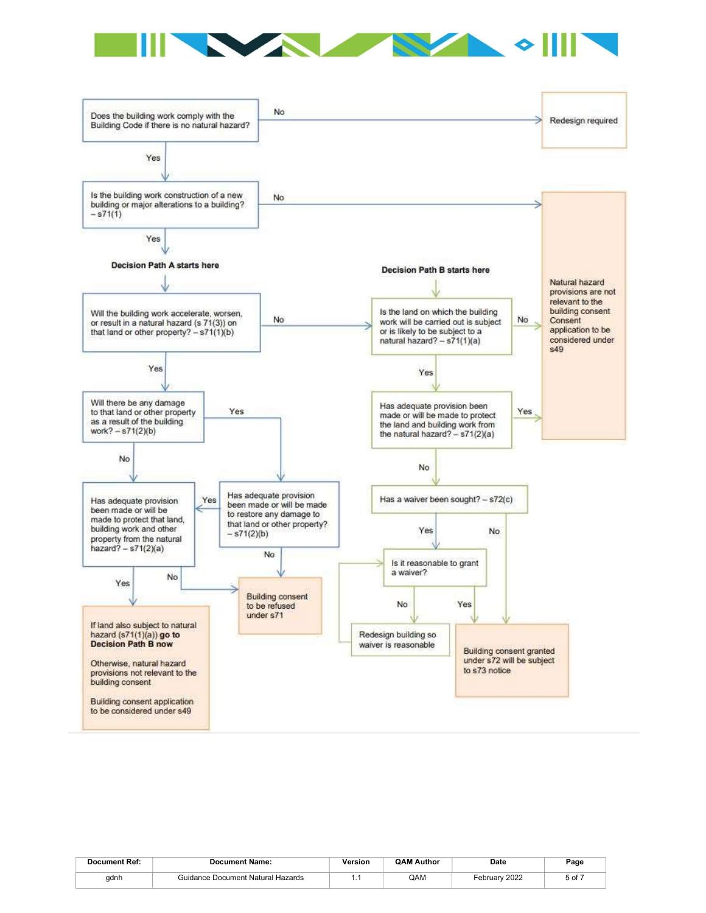



| <b>Document Ref:</b> | <b>Document Name:</b>             | /ersion | <b>OAM Author</b> | Date          | Page       |
|----------------------|-----------------------------------|---------|-------------------|---------------|------------|
| gdnh                 | Guidance Document Natural Hazards | .       | QAM               | February 2022 | $5$ of $-$ |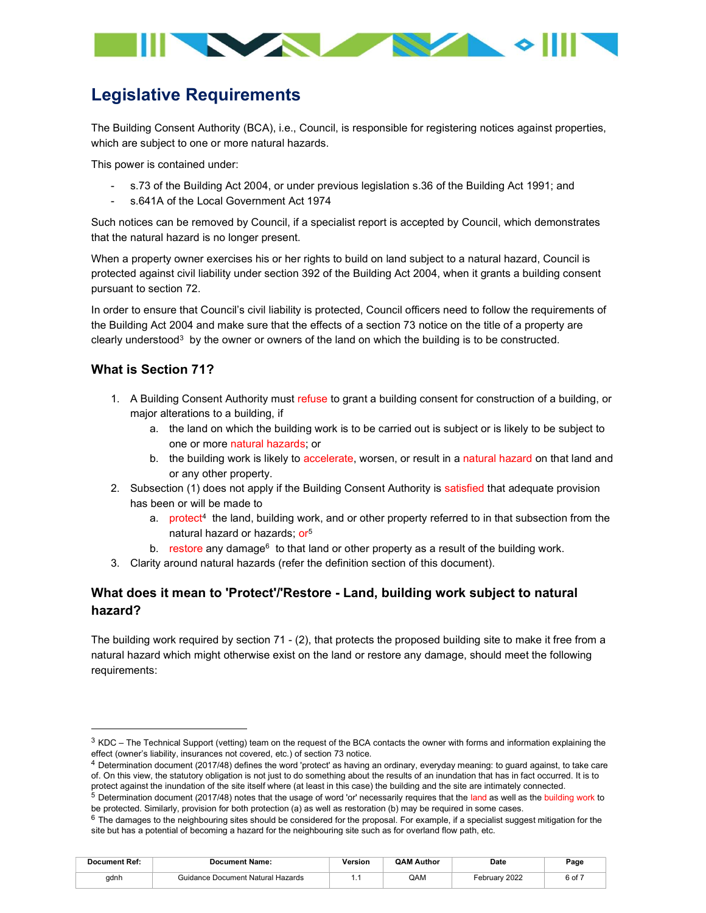

# Legislative Requirements

The Building Consent Authority (BCA), i.e., Council, is responsible for registering notices against properties, which are subject to one or more natural hazards.

This power is contained under:

- s.73 of the Building Act 2004, or under previous legislation s.36 of the Building Act 1991; and
- s.641A of the Local Government Act 1974

Such notices can be removed by Council, if a specialist report is accepted by Council, which demonstrates that the natural hazard is no longer present.

When a property owner exercises his or her rights to build on land subject to a natural hazard, Council is protected against civil liability under section 392 of the Building Act 2004, when it grants a building consent pursuant to section 72.

In order to ensure that Council's civil liability is protected, Council officers need to follow the requirements of the Building Act 2004 and make sure that the effects of a section 73 notice on the title of a property are clearly understood<sup>3</sup> by the owner or owners of the land on which the building is to be constructed.

## What is Section 71?

- 1. A Building Consent Authority must refuse to grant a building consent for construction of a building, or major alterations to a building, if
	- a. the land on which the building work is to be carried out is subject or is likely to be subject to one or more natural hazards; or
	- b. the building work is likely to accelerate, worsen, or result in a natural hazard on that land and or any other property.
- 2. Subsection (1) does not apply if the Building Consent Authority is satisfied that adequate provision has been or will be made to
	- a. protect<sup>4</sup> the land, building work, and or other property referred to in that subsection from the natural hazard or hazards; or<sup>5</sup>
	- b. restore any damage<sup>6</sup> to that land or other property as a result of the building work.
- 3. Clarity around natural hazards (refer the definition section of this document).

## What does it mean to 'Protect'/'Restore - Land, building work subject to natural hazard?

The building work required by section 71 - (2), that protects the proposed building site to make it free from a natural hazard which might otherwise exist on the land or restore any damage, should meet the following requirements:

 $6$  The damages to the neighbouring sites should be considered for the proposal. For example, if a specialist suggest mitigation for the site but has a potential of becoming a hazard for the neighbouring site such as for overland flow path, etc.

| <b>Document Ref:</b> | <b>Document Name:</b>             | /ersion | <b>QAM Author</b> | Date          | Page |
|----------------------|-----------------------------------|---------|-------------------|---------------|------|
| adnh                 | Guidance Document Natural Hazards |         | QAM               | February 2022 | 6 of |

 $3$  KDC – The Technical Support (vetting) team on the request of the BCA contacts the owner with forms and information explaining the effect (owner's liability, insurances not covered, etc.) of section 73 notice.

<sup>4</sup> Determination document (2017/48) defines the word 'protect' as having an ordinary, everyday meaning: to guard against, to take care of. On this view, the statutory obligation is not just to do something about the results of an inundation that has in fact occurred. It is to protect against the inundation of the site itself where (at least in this case) the building and the site are intimately connected.

 $5$  Determination document (2017/48) notes that the usage of word 'or' necessarily requires that the land as well as the building work to be protected. Similarly, provision for both protection (a) as well as restoration (b) may be required in some cases.